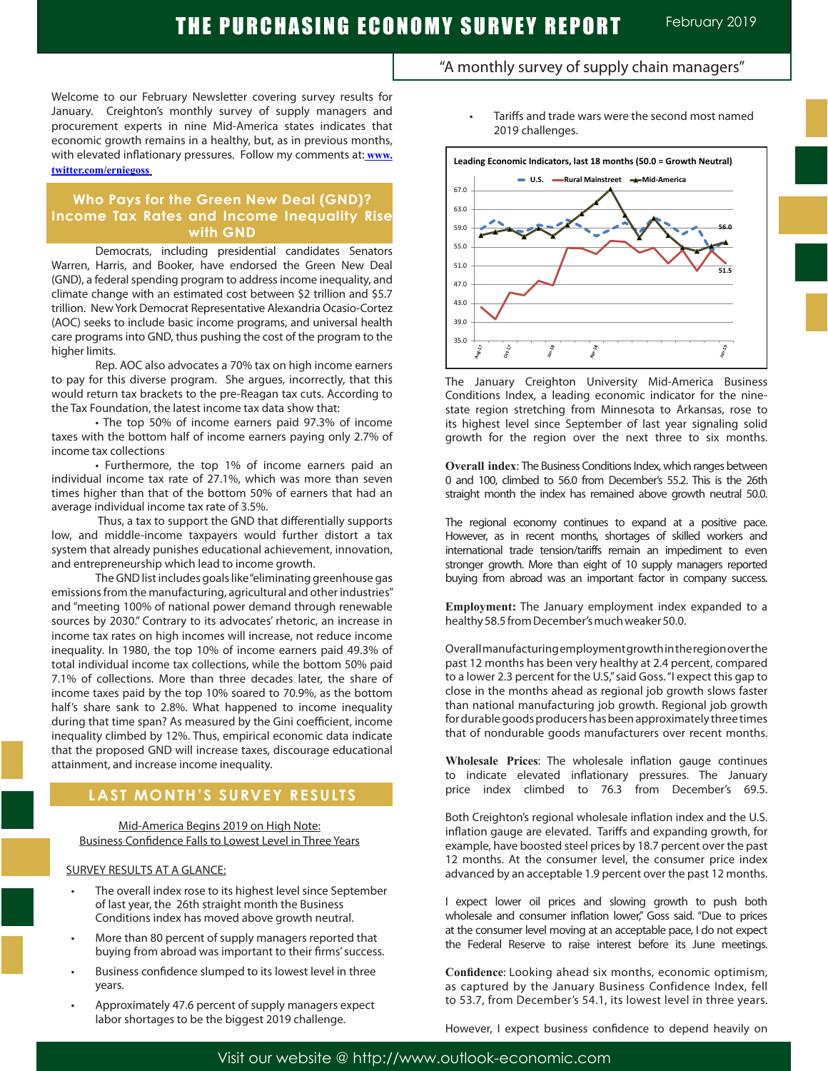### Welcome to our February Newsletter covering survey results for January. Creighton's monthly survey of supply managers and procurement experts in nine Mid-America states indicates that economic growth remains in a healthy, but, as in previous months, with elevated inflationary pressures. Follow my comments at: **www. twitter.com/erniegoss**

### **Who Pays for the Green New Deal (GND)? Income Tax Rates and Income Inequality Rise with GND**

Democrats, including presidential candidates Senators Warren, Harris, and Booker, have endorsed the Green New Deal (GND), a federal spending program to address income inequality, and climate change with an estimated cost between \$2 trillion and \$5.7 trillion. New York Democrat Representative Alexandria Ocasio-Cortez (AOC) seeks to include basic income programs, and universal health care programs into GND, thus pushing the cost of the program to the higher limits.

Rep. AOC also advocates a 70% tax on high income earners to pay for this diverse program. She argues, incorrectly, that this would return tax brackets to the pre-Reagan tax cuts. According to the Tax Foundation, the latest income tax data show that:

• The top 50% of income earners paid 97.3% of income taxes with the bottom half of income earners paying only 2.7% of income tax collections

• Furthermore, the top 1% of income earners paid an individual income tax rate of 27.1%, which was more than seven times higher than that of the bottom 50% of earners that had an average individual income tax rate of 3.5%.

 Thus, a tax to support the GND that differentially supports low, and middle-income taxpayers would further distort a tax system that already punishes educational achievement, innovation, and entrepreneurship which lead to income growth.

The GND list includes goals like "eliminating greenhouse gas emissions from the manufacturing, agricultural and other industries" and "meeting 100% of national power demand through renewable sources by 2030." Contrary to its advocates' rhetoric, an increase in income tax rates on high incomes will increase, not reduce income inequality. In 1980, the top 10% of income earners paid 49.3% of total individual income tax collections, while the bottom 50% paid 7.1% of collections. More than three decades later, the share of income taxes paid by the top 10% soared to 70.9%, as the bottom half's share sank to 2.8%. What happened to income inequality during that time span? As measured by the Gini coefficient, income inequality climbed by 12%. Thus, empirical economic data indicate that the proposed GND will increase taxes, discourage educational attainment, and increase income inequality.

# **LAST MONTH'S SURVEY RESULTS**

#### Mid-America Begins 2019 on High Note: Business Confidence Falls to Lowest Level in Three Years

### SURVEY RESULTS AT A GLANCE:

l

- The overall index rose to its highest level since September of last year, the 26th straight month the Business Conditions index has moved above growth neutral.
- More than 80 percent of supply managers reported that buying from abroad was important to their firms' success.
- Business confidence slumped to its lowest level in three years.
- Approximately 47.6 percent of supply managers expect labor shortages to be the biggest 2019 challenge.
- "A monthly survey of supply chain managers"
	- Tariffs and trade wars were the second most named 2019 challenges.



The January Creighton University Mid-America Business Conditions Index, a leading economic indicator for the ninestate region stretching from Minnesota to Arkansas, rose to its highest level since September of last year signaling solid growth for the region over the next three to six months.

**Overall index**: The Business Conditions Index, which ranges between 0 and 100, climbed to 56.0 from December's 55.2. This is the 26th straight month the index has remained above growth neutral 50.0.

The regional economy continues to expand at a positive pace. However, as in recent months, shortages of skilled workers and international trade tension/tariffs remain an impediment to even stronger growth. More than eight of 10 supply managers reported buying from abroad was an important factor in company success.

**Employment:** The January employment index expanded to a healthy 58.5 from December's much weaker 50.0. .

Overall manufacturing employment growth in the region over the past 12 months has been very healthy at 2.4 percent, compared to a lower 2.3 percent for the U.S," said Goss. "I expect this gap to close in the months ahead as regional job growth slows faster than national manufacturing job growth. Regional job growth for durable goods producers has been approximately three times that of nondurable goods manufacturers over recent months.

**Wholesale Prices**: The wholesale inflation gauge continues to indicate elevated inflationary pressures. The January price index climbed to 76.3 from December's 69.5.

Both Creighton's regional wholesale inflation index and the U.S. inflation gauge are elevated. Tariffs and expanding growth, for example, have boosted steel prices by 18.7 percent over the past 12 months. At the consumer level, the consumer price index advanced by an acceptable 1.9 percent over the past 12 months.

I expect lower oil prices and slowing growth to push both wholesale and consumer inflation lower," Goss said. "Due to prices at the consumer level moving at an acceptable pace, I do not expect the Federal Reserve to raise interest before its June meetings.

**Confidence**: Looking ahead six months, economic optimism, as captured by the January Business Confidence Index, fell to 53.7, from December's 54.1, its lowest level in three years.

However, I expect business confidence to depend heavily on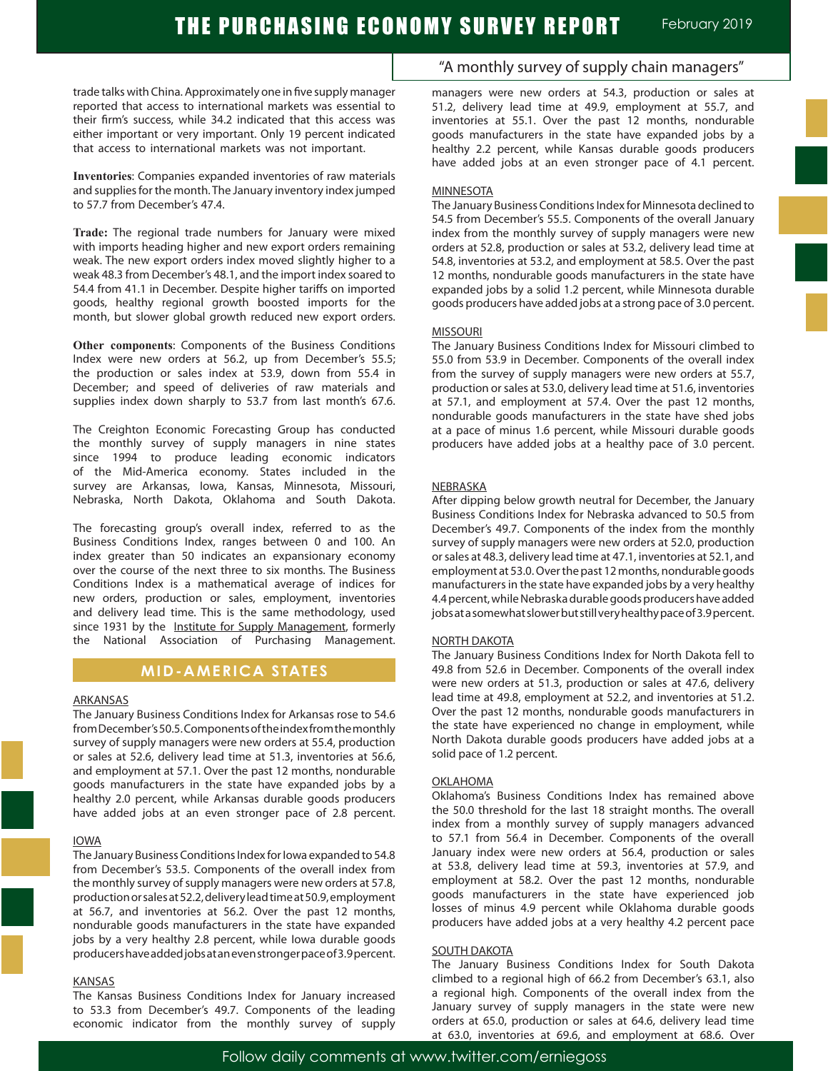trade talks with China. Approximately one in five supply manager reported that access to international markets was essential to their firm's success, while 34.2 indicated that this access was either important or very important. Only 19 percent indicated that access to international markets was not important.

**Inventories**: Companies expanded inventories of raw materials and supplies for the month. The January inventory index jumped to 57.7 from December's 47.4.

**Trade:** The regional trade numbers for January were mixed with imports heading higher and new export orders remaining weak. The new export orders index moved slightly higher to a weak 48.3 from December's 48.1, and the import index soared to 54.4 from 41.1 in December. Despite higher tariffs on imported goods, healthy regional growth boosted imports for the month, but slower global growth reduced new export orders.

**Other components**: Components of the Business Conditions Index were new orders at 56.2, up from December's 55.5; the production or sales index at 53.9, down from 55.4 in December; and speed of deliveries of raw materials and supplies index down sharply to 53.7 from last month's 67.6.

The Creighton Economic Forecasting Group has conducted the monthly survey of supply managers in nine states since 1994 to produce leading economic indicators of the Mid-America economy. States included in the survey are Arkansas, Iowa, Kansas, Minnesota, Missouri, Nebraska, North Dakota, Oklahoma and South Dakota.

The forecasting group's overall index, referred to as the Business Conditions Index, ranges between 0 and 100. An index greater than 50 indicates an expansionary economy over the course of the next three to six months. The Business Conditions Index is a mathematical average of indices for new orders, production or sales, employment, inventories and delivery lead time. This is the same methodology, used since 1931 by the Institute for Supply Management, formerly the National Association of Purchasing Management.

### **MID-AMERICA STATES**

#### ARKANSAS

The January Business Conditions Index for Arkansas rose to 54.6 from December's 50.5. Components of the index from the monthly survey of supply managers were new orders at 55.4, production or sales at 52.6, delivery lead time at 51.3, inventories at 56.6, and employment at 57.1. Over the past 12 months, nondurable goods manufacturers in the state have expanded jobs by a healthy 2.0 percent, while Arkansas durable goods producers have added jobs at an even stronger pace of 2.8 percent.

#### IOWA

The January Business Conditions Index for Iowa expanded to 54.8 from December's 53.5. Components of the overall index from the monthly survey of supply managers were new orders at 57.8, production or sales at 52.2, delivery lead time at 50.9, employment at 56.7, and inventories at 56.2. Over the past 12 months, nondurable goods manufacturers in the state have expanded jobs by a very healthy 2.8 percent, while Iowa durable goods producers have added jobs at an even stronger pace of 3.9 percent.

#### KANSAS

The Kansas Business Conditions Index for January increased to 53.3 from December's 49.7. Components of the leading economic indicator from the monthly survey of supply

### "A monthly survey of supply chain managers"

managers were new orders at 54.3, production or sales at 51.2, delivery lead time at 49.9, employment at 55.7, and inventories at 55.1. Over the past 12 months, nondurable goods manufacturers in the state have expanded jobs by a healthy 2.2 percent, while Kansas durable goods producers have added jobs at an even stronger pace of 4.1 percent.

#### MINNESOTA

The January Business Conditions Index for Minnesota declined to 54.5 from December's 55.5. Components of the overall January index from the monthly survey of supply managers were new orders at 52.8, production or sales at 53.2, delivery lead time at 54.8, inventories at 53.2, and employment at 58.5. Over the past 12 months, nondurable goods manufacturers in the state have expanded jobs by a solid 1.2 percent, while Minnesota durable goods producers have added jobs at a strong pace of 3.0 percent.

#### MISSOURI

The January Business Conditions Index for Missouri climbed to 55.0 from 53.9 in December. Components of the overall index from the survey of supply managers were new orders at 55.7, production or sales at 53.0, delivery lead time at 51.6, inventories at 57.1, and employment at 57.4. Over the past 12 months, nondurable goods manufacturers in the state have shed jobs at a pace of minus 1.6 percent, while Missouri durable goods producers have added jobs at a healthy pace of 3.0 percent.

#### NEBRASKA

After dipping below growth neutral for December, the January Business Conditions Index for Nebraska advanced to 50.5 from December's 49.7. Components of the index from the monthly survey of supply managers were new orders at 52.0, production or sales at 48.3, delivery lead time at 47.1, inventories at 52.1, and employment at 53.0. Over the past 12 months, nondurable goods manufacturers in the state have expanded jobs by a very healthy 4.4 percent, while Nebraska durable goods producers have added jobs at a somewhat slower but still very healthy pace of 3.9 percent.

#### NORTH DAKOTA

The January Business Conditions Index for North Dakota fell to 49.8 from 52.6 in December. Components of the overall index were new orders at 51.3, production or sales at 47.6, delivery lead time at 49.8, employment at 52.2, and inventories at 51.2. Over the past 12 months, nondurable goods manufacturers in the state have experienced no change in employment, while North Dakota durable goods producers have added jobs at a solid pace of 1.2 percent.

#### OKLAHOMA

Oklahoma's Business Conditions Index has remained above the 50.0 threshold for the last 18 straight months. The overall index from a monthly survey of supply managers advanced to 57.1 from 56.4 in December. Components of the overall January index were new orders at 56.4, production or sales at 53.8, delivery lead time at 59.3, inventories at 57.9, and employment at 58.2. Over the past 12 months, nondurable goods manufacturers in the state have experienced job losses of minus 4.9 percent while Oklahoma durable goods producers have added jobs at a very healthy 4.2 percent pace

#### SOUTH DAKOTA

The January Business Conditions Index for South Dakota climbed to a regional high of 66.2 from December's 63.1, also a regional high. Components of the overall index from the January survey of supply managers in the state were new orders at 65.0, production or sales at 64.6, delivery lead time at 63.0, inventories at 69.6, and employment at 68.6. Over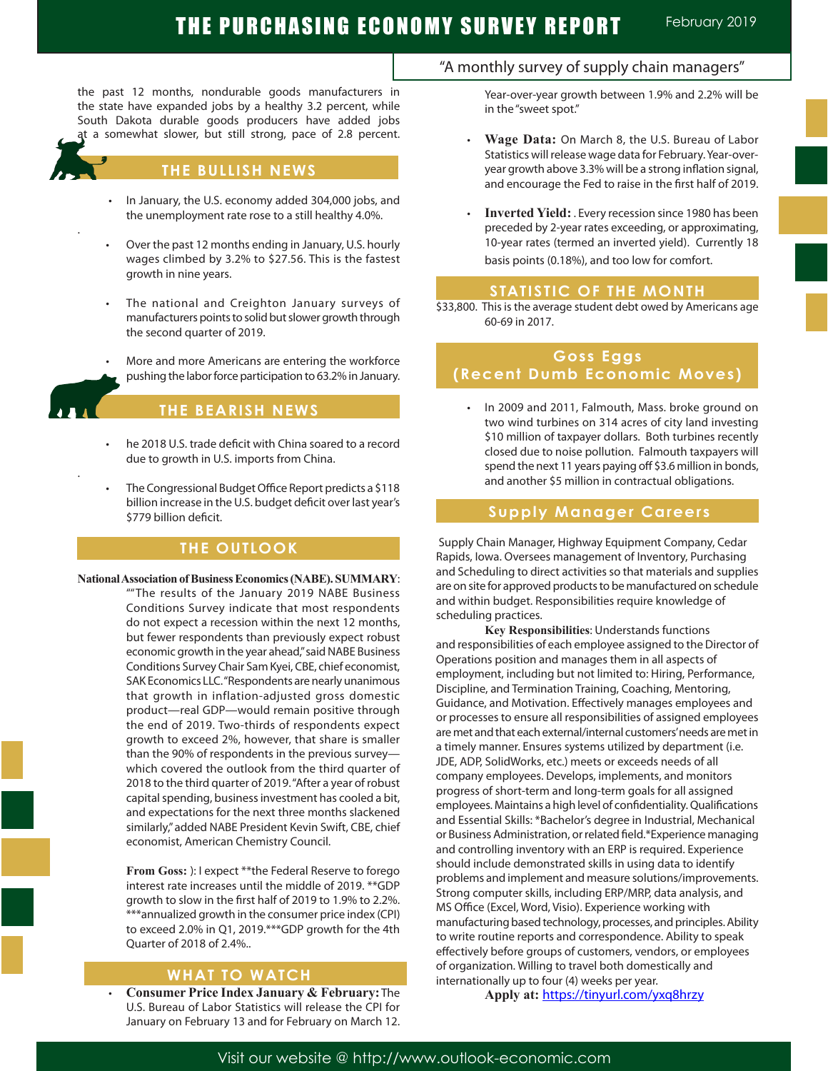# THE PURCHASING ECONOMY SURVEY REPORT February 2019

the past 12 months, nondurable goods manufacturers in the state have expanded jobs by a healthy 3.2 percent, while South Dakota durable goods producers have added jobs a somewhat slower, but still strong, pace of 2.8 percent.



.

.

### **THE BULLISH NEWS**

- In January, the U.S. economy added 304,000 jobs, and the unemployment rate rose to a still healthy 4.0%.
- Over the past 12 months ending in January, U.S. hourly wages climbed by 3.2% to \$27.56. This is the fastest growth in nine years.
- The national and Creighton January surveys of manufacturers points to solid but slower growth through the second quarter of 2019.
- More and more Americans are entering the workforce pushing the labor force participation to 63.2% in January.

### **THE BEARISH NEWS**

- he 2018 U.S. trade deficit with China soared to a record due to growth in U.S. imports from China.
- The Congressional Budget Office Report predicts a \$118 billion increase in the U.S. budget deficit over last year's \$779 billion deficit.

### **THE OUTLOOK**

**National Association of Business Economics (NABE). SUMMARY**:

""The results of the January 2019 NABE Business Conditions Survey indicate that most respondents do not expect a recession within the next 12 months, but fewer respondents than previously expect robust economic growth in the year ahead," said NABE Business Conditions Survey Chair Sam Kyei, CBE, chief economist, SAK Economics LLC. "Respondents are nearly unanimous that growth in inflation-adjusted gross domestic product—real GDP—would remain positive through the end of 2019. Two-thirds of respondents expect growth to exceed 2%, however, that share is smaller than the 90% of respondents in the previous survey which covered the outlook from the third quarter of 2018 to the third quarter of 2019. "After a year of robust capital spending, business investment has cooled a bit, and expectations for the next three months slackened similarly," added NABE President Kevin Swift, CBE, chief economist, American Chemistry Council.

**From Goss:** ): I expect \*\*the Federal Reserve to forego interest rate increases until the middle of 2019. \*\*GDP growth to slow in the first half of 2019 to 1.9% to 2.2%. \*\*\*annualized growth in the consumer price index (CPI) to exceed 2.0% in Q1, 2019.\*\*\*GDP growth for the 4th Quarter of 2018 of 2.4%..

### **WHAT TO WATCH**

 • **Consumer Price Index January & February:** The U.S. Bureau of Labor Statistics will release the CPI for January on February 13 and for February on March 12.

### "A monthly survey of supply chain managers"

Year-over-year growth between 1.9% and 2.2% will be in the "sweet spot."

- **Wage Data:** On March 8, the U.S. Bureau of Labor Statistics will release wage data for February. Year-overyear growth above 3.3% will be a strong inflation signal, and encourage the Fed to raise in the first half of 2019.
- Inverted Yield: . Every recession since 1980 has been preceded by 2-year rates exceeding, or approximating, 10-year rates (termed an inverted yield). Currently 18 basis points (0.18%), and too low for comfort.

### **STATISTIC OF THE MONTH**

\$33,800. This is the average student debt owed by Americans age 60-69 in 2017.

### **Goss Eggs (Recent Dumb Economic Moves)**

 • In 2009 and 2011, Falmouth, Mass. broke ground on two wind turbines on 314 acres of city land investing \$10 million of taxpayer dollars. Both turbines recently closed due to noise pollution. Falmouth taxpayers will spend the next 11 years paying off \$3.6 million in bonds, and another \$5 million in contractual obligations.

### **Supply Manager Careers**

 Supply Chain Manager, Highway Equipment Company, Cedar Rapids, Iowa. Oversees management of Inventory, Purchasing and Scheduling to direct activities so that materials and supplies are on site for approved products to be manufactured on schedule and within budget. Responsibilities require knowledge of scheduling practices.

**Key Responsibilities**: Understands functions and responsibilities of each employee assigned to the Director of Operations position and manages them in all aspects of employment, including but not limited to: Hiring, Performance, Discipline, and Termination Training, Coaching, Mentoring, Guidance, and Motivation. Effectively manages employees and or processes to ensure all responsibilities of assigned employees are met and that each external/internal customers' needs are met in a timely manner. Ensures systems utilized by department (i.e. JDE, ADP, SolidWorks, etc.) meets or exceeds needs of all company employees. Develops, implements, and monitors progress of short-term and long-term goals for all assigned employees. Maintains a high level of confidentiality. Qualifications and Essential Skills: \*Bachelor's degree in Industrial, Mechanical or Business Administration, or related field.\*Experience managing and controlling inventory with an ERP is required. Experience should include demonstrated skills in using data to identify problems and implement and measure solutions/improvements. Strong computer skills, including ERP/MRP, data analysis, and MS Office (Excel, Word, Visio). Experience working with manufacturing based technology, processes, and principles. Ability to write routine reports and correspondence. Ability to speak effectively before groups of customers, vendors, or employees of organization. Willing to travel both domestically and internationally up to four (4) weeks per year.

**Apply at:** https://tinyurl.com/yxq8hrzy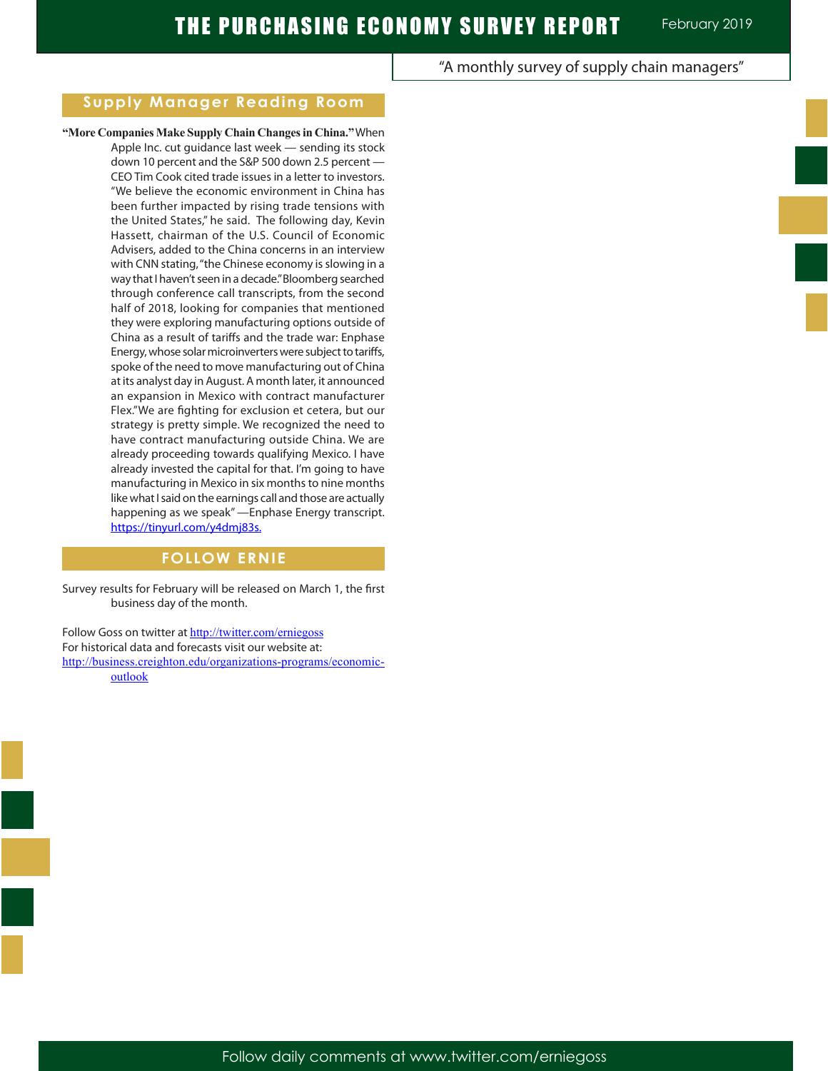# **Supply Manager Reading Room**

**"More Companies Make Supply Chain Changes in China."** When Apple Inc. cut guidance last week — sending its stock down 10 percent and the S&P 500 down 2.5 percent — CEO Tim Cook cited trade issues in a letter to investors. "We believe the economic environment in China has been further impacted by rising trade tensions with the United States," he said. The following day, Kevin Hassett, chairman of the U.S. Council of Economic Advisers, added to the China concerns in an interview with CNN stating, "the Chinese economy is slowing in a way that I haven't seen in a decade." Bloomberg searched through conference call transcripts, from the second half of 2018, looking for companies that mentioned they were exploring manufacturing options outside of China as a result of tariffs and the trade war: Enphase Energy, whose solar microinverters were subject to tariffs, spoke of the need to move manufacturing out of China at its analyst day in August. A month later, it announced an expansion in Mexico with contract manufacturer Flex."We are fighting for exclusion et cetera, but our strategy is pretty simple. We recognized the need to have contract manufacturing outside China. We are already proceeding towards qualifying Mexico. I have already invested the capital for that. I'm going to have manufacturing in Mexico in six months to nine months like what I said on the earnings call and those are actually happening as we speak" —Enphase Energy transcript. https://tinyurl.com/y4dmj83s.

## **FOLLOW ERNIE**

Survey results for February will be released on March 1, the first business day of the month.

Follow Goss on twitter at http://twitter.com/erniegoss For historical data and forecasts visit our website at: http://business.creighton.edu/organizations-programs/economicoutlook

"A monthly survey of supply chain managers"